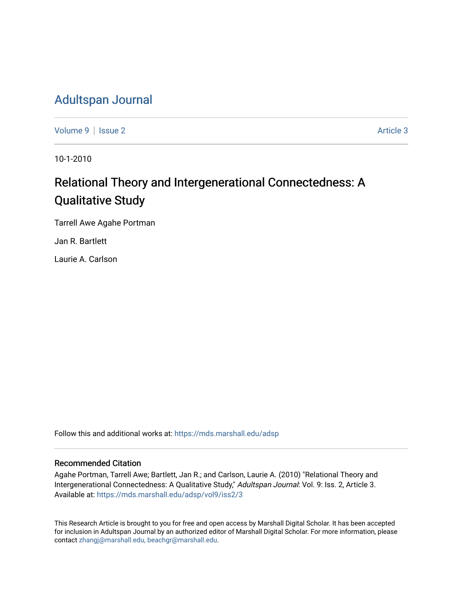## [Adultspan Journal](https://mds.marshall.edu/adsp)

[Volume 9](https://mds.marshall.edu/adsp/vol9) | [Issue 2](https://mds.marshall.edu/adsp/vol9/iss2) Article 3

10-1-2010

## Relational Theory and Intergenerational Connectedness: A Qualitative Study

Tarrell Awe Agahe Portman

Jan R. Bartlett

Laurie A. Carlson

Follow this and additional works at: [https://mds.marshall.edu/adsp](https://mds.marshall.edu/adsp?utm_source=mds.marshall.edu%2Fadsp%2Fvol9%2Fiss2%2F3&utm_medium=PDF&utm_campaign=PDFCoverPages) 

#### Recommended Citation

Agahe Portman, Tarrell Awe; Bartlett, Jan R.; and Carlson, Laurie A. (2010) "Relational Theory and Intergenerational Connectedness: A Qualitative Study," Adultspan Journal: Vol. 9: Iss. 2, Article 3. Available at: [https://mds.marshall.edu/adsp/vol9/iss2/3](https://mds.marshall.edu/adsp/vol9/iss2/3?utm_source=mds.marshall.edu%2Fadsp%2Fvol9%2Fiss2%2F3&utm_medium=PDF&utm_campaign=PDFCoverPages)

This Research Article is brought to you for free and open access by Marshall Digital Scholar. It has been accepted for inclusion in Adultspan Journal by an authorized editor of Marshall Digital Scholar. For more information, please contact [zhangj@marshall.edu, beachgr@marshall.edu](mailto:zhangj@marshall.edu,%20beachgr@marshall.edu).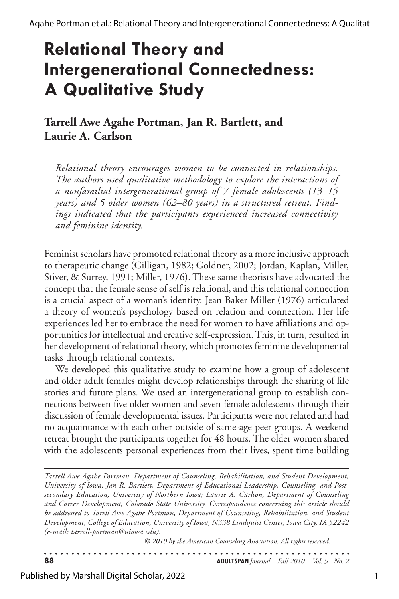# **Relational Theory and Intergenerational Connectedness: A Qualitative Study**

## **Tarrell Awe Agahe Portman, Jan R. Bartlett, and Laurie A. Carlson**

*Relational theory encourages women to be connected in relationships. The authors used qualitative methodology to explore the interactions of a nonfamilial intergenerational group of 7 female adolescents (13–15 years) and 5 older women (62–80 years) in a structured retreat. Findings indicated that the participants experienced increased connectivity and feminine identity.*

Feminist scholars have promoted relational theory as a more inclusive approach to therapeutic change (Gilligan, 1982; Goldner, 2002; Jordan, Kaplan, Miller, Stiver, & Surrey, 1991; Miller, 1976). These same theorists have advocated the concept that the female sense of self is relational, and this relational connection is a crucial aspect of a woman's identity. Jean Baker Miller (1976) articulated a theory of women's psychology based on relation and connection. Her life experiences led her to embrace the need for women to have affiliations and opportunities for intellectual and creative self-expression. This, in turn, resulted in her development of relational theory, which promotes feminine developmental tasks through relational contexts.

We developed this qualitative study to examine how a group of adolescent and older adult females might develop relationships through the sharing of life stories and future plans. We used an intergenerational group to establish connections between five older women and seven female adolescents through their discussion of female developmental issues. Participants were not related and had no acquaintance with each other outside of same-age peer groups. A weekend retreat brought the participants together for 48 hours. The older women shared with the adolescents personal experiences from their lives, spent time building

*Tarrell Awe Agahe Portman, Department of Counseling, Rehabilitation, and Student Development, University of Iowa; Jan R. Bartlett, Department of Educational Leadership, Counseling, and Postsecondary Education, University of Northern Iowa; Laurie A. Carlson, Department of Counseling and Career Development, Colorado State University. Correspondence concerning this article should be addressed to Tarell Awe Agahe Portman, Department of Counseling, Rehabilitation, and Student Development, College of Education, University of Iowa, N338 Lindquist Center, Iowa City, IA 52242 (e-mail: tarrell-portman@uiowa.edu).* 

*© 2010 by the American Counseling Association. All rights reserved.*

 $\ddot{\phantom{a}}$ **88 ADULTSPAN***Journal Fall 2010 Vol. 9 No. 2*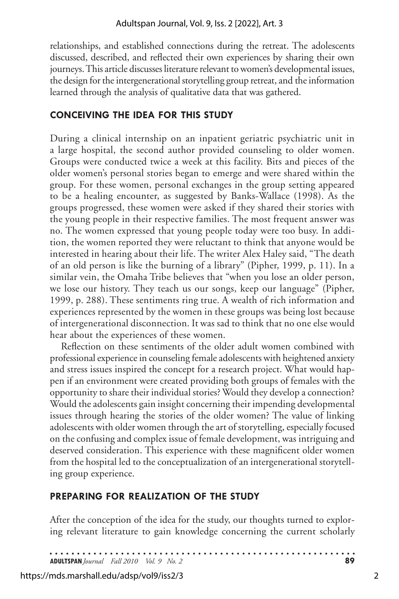relationships, and established connections during the retreat. The adolescents discussed, described, and reflected their own experiences by sharing their own journeys. This article discusses literature relevant to women's developmental issues, the design for the intergenerational storytelling group retreat, and the information learned through the analysis of qualitative data that was gathered.

#### **CONCEIVING THE IDEA FOR THIS STUDY**

During a clinical internship on an inpatient geriatric psychiatric unit in a large hospital, the second author provided counseling to older women. Groups were conducted twice a week at this facility. Bits and pieces of the older women's personal stories began to emerge and were shared within the group. For these women, personal exchanges in the group setting appeared to be a healing encounter, as suggested by Banks-Wallace (1998). As the groups progressed, these women were asked if they shared their stories with the young people in their respective families. The most frequent answer was no. The women expressed that young people today were too busy. In addition, the women reported they were reluctant to think that anyone would be interested in hearing about their life. The writer Alex Haley said, "The death of an old person is like the burning of a library" (Pipher, 1999, p. 11). In a similar vein, the Omaha Tribe believes that "when you lose an older person, we lose our history. They teach us our songs, keep our language" (Pipher, 1999, p. 288). These sentiments ring true. A wealth of rich information and experiences represented by the women in these groups was being lost because of intergenerational disconnection. It was sad to think that no one else would hear about the experiences of these women.

Reflection on these sentiments of the older adult women combined with professional experience in counseling female adolescents with heightened anxiety and stress issues inspired the concept for a research project. What would happen if an environment were created providing both groups of females with the opportunity to share their individual stories? Would they develop a connection? Would the adolescents gain insight concerning their impending developmental issues through hearing the stories of the older women? The value of linking adolescents with older women through the art of storytelling, especially focused on the confusing and complex issue of female development, was intriguing and deserved consideration. This experience with these magnificent older women from the hospital led to the conceptualization of an intergenerational storytelling group experience.

#### **PREPARING FOR REALIZATION OF THE STUDY**

After the conception of the idea for the study, our thoughts turned to exploring relevant literature to gain knowledge concerning the current scholarly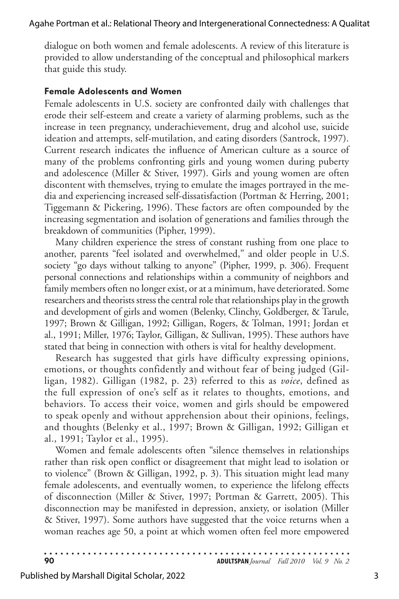dialogue on both women and female adolescents. A review of this literature is provided to allow understanding of the conceptual and philosophical markers that guide this study.

#### **Female Adolescents and Women**

Female adolescents in U.S. society are confronted daily with challenges that erode their self-esteem and create a variety of alarming problems, such as the increase in teen pregnancy, underachievement, drug and alcohol use, suicide ideation and attempts, self-mutilation, and eating disorders (Santrock, 1997). Current research indicates the influence of American culture as a source of many of the problems confronting girls and young women during puberty and adolescence (Miller & Stiver, 1997). Girls and young women are often discontent with themselves, trying to emulate the images portrayed in the media and experiencing increased self-dissatisfaction (Portman & Herring, 2001; Tiggemann & Pickering, 1996). These factors are often compounded by the increasing segmentation and isolation of generations and families through the breakdown of communities (Pipher, 1999).

Many children experience the stress of constant rushing from one place to another, parents "feel isolated and overwhelmed," and older people in U.S. society "go days without talking to anyone" (Pipher, 1999, p. 306). Frequent personal connections and relationships within a community of neighbors and family members often no longer exist, or at a minimum, have deteriorated. Some researchers and theorists stress the central role that relationships play in the growth and development of girls and women (Belenky, Clinchy, Goldberger, & Tarule, 1997; Brown & Gilligan, 1992; Gilligan, Rogers, & Tolman, 1991; Jordan et al., 1991; Miller, 1976; Taylor, Gilligan, & Sullivan, 1995). These authors have stated that being in connection with others is vital for healthy development.

Research has suggested that girls have difficulty expressing opinions, emotions, or thoughts confidently and without fear of being judged (Gilligan, 1982). Gilligan (1982, p. 23) referred to this as *voice*, defined as the full expression of one's self as it relates to thoughts, emotions, and behaviors. To access their voice, women and girls should be empowered to speak openly and without apprehension about their opinions, feelings, and thoughts (Belenky et al., 1997; Brown & Gilligan, 1992; Gilligan et al., 1991; Taylor et al., 1995).

Women and female adolescents often "silence themselves in relationships rather than risk open conflict or disagreement that might lead to isolation or to violence" (Brown & Gilligan, 1992, p. 3). This situation might lead many female adolescents, and eventually women, to experience the lifelong effects of disconnection (Miller & Stiver, 1997; Portman & Garrett, 2005). This disconnection may be manifested in depression, anxiety, or isolation (Miller & Stiver, 1997). Some authors have suggested that the voice returns when a woman reaches age 50, a point at which women often feel more empowered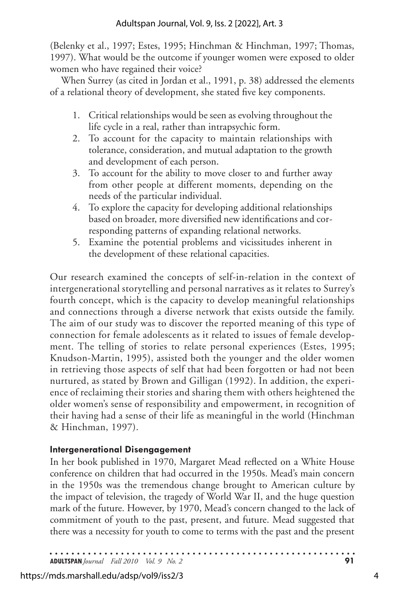(Belenky et al., 1997; Estes, 1995; Hinchman & Hinchman, 1997; Thomas, 1997). What would be the outcome if younger women were exposed to older women who have regained their voice?

When Surrey (as cited in Jordan et al., 1991, p. 38) addressed the elements of a relational theory of development, she stated five key components.

- 1. Critical relationships would be seen as evolving throughout the life cycle in a real, rather than intrapsychic form.
- 2. To account for the capacity to maintain relationships with tolerance, consideration, and mutual adaptation to the growth and development of each person.
- 3. To account for the ability to move closer to and further away from other people at different moments, depending on the needs of the particular individual.
- 4. To explore the capacity for developing additional relationships based on broader, more diversified new identifications and corresponding patterns of expanding relational networks.
- 5. Examine the potential problems and vicissitudes inherent in the development of these relational capacities.

Our research examined the concepts of self-in-relation in the context of intergenerational storytelling and personal narratives as it relates to Surrey's fourth concept, which is the capacity to develop meaningful relationships and connections through a diverse network that exists outside the family. The aim of our study was to discover the reported meaning of this type of connection for female adolescents as it related to issues of female development. The telling of stories to relate personal experiences (Estes, 1995; Knudson-Martin, 1995), assisted both the younger and the older women in retrieving those aspects of self that had been forgotten or had not been nurtured, as stated by Brown and Gilligan (1992). In addition, the experience of reclaiming their stories and sharing them with others heightened the older women's sense of responsibility and empowerment, in recognition of their having had a sense of their life as meaningful in the world (Hinchman & Hinchman, 1997).

## **Intergenerational Disengagement**

In her book published in 1970, Margaret Mead reflected on a White House conference on children that had occurred in the 1950s. Mead's main concern in the 1950s was the tremendous change brought to American culture by the impact of television, the tragedy of World War II, and the huge question mark of the future. However, by 1970, Mead's concern changed to the lack of commitment of youth to the past, present, and future. Mead suggested that there was a necessity for youth to come to terms with the past and the present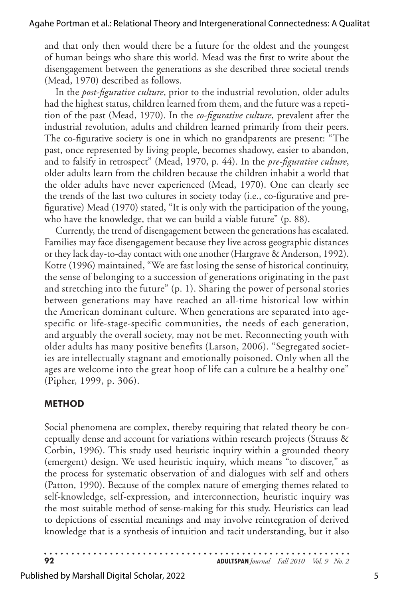and that only then would there be a future for the oldest and the youngest of human beings who share this world. Mead was the first to write about the disengagement between the generations as she described three societal trends (Mead, 1970) described as follows.

In the *post-figurative culture*, prior to the industrial revolution, older adults had the highest status, children learned from them, and the future was a repetition of the past (Mead, 1970). In the *co-figurative culture*, prevalent after the industrial revolution, adults and children learned primarily from their peers. The co-figurative society is one in which no grandparents are present: "The past, once represented by living people, becomes shadowy, easier to abandon, and to falsify in retrospect" (Mead, 1970, p. 44). In the *pre-figurative culture*, older adults learn from the children because the children inhabit a world that the older adults have never experienced (Mead, 1970). One can clearly see the trends of the last two cultures in society today (i.e., co-figurative and prefigurative) Mead (1970) stated, "It is only with the participation of the young, who have the knowledge, that we can build a viable future" (p. 88).

Currently, the trend of disengagement between the generations has escalated. Families may face disengagement because they live across geographic distances or they lack day-to-day contact with one another (Hargrave & Anderson, 1992). Kotre (1996) maintained, "We are fast losing the sense of historical continuity, the sense of belonging to a succession of generations originating in the past and stretching into the future" (p. 1). Sharing the power of personal stories between generations may have reached an all-time historical low within the American dominant culture. When generations are separated into agespecific or life-stage-specific communities, the needs of each generation, and arguably the overall society, may not be met. Reconnecting youth with older adults has many positive benefits (Larson, 2006). "Segregated societies are intellectually stagnant and emotionally poisoned. Only when all the ages are welcome into the great hoop of life can a culture be a healthy one" (Pipher, 1999, p. 306).

## **METHOD**

Social phenomena are complex, thereby requiring that related theory be conceptually dense and account for variations within research projects (Strauss & Corbin, 1996). This study used heuristic inquiry within a grounded theory (emergent) design. We used heuristic inquiry, which means "to discover," as the process for systematic observation of and dialogues with self and others (Patton, 1990). Because of the complex nature of emerging themes related to self-knowledge, self-expression, and interconnection, heuristic inquiry was the most suitable method of sense-making for this study. Heuristics can lead to depictions of essential meanings and may involve reintegration of derived knowledge that is a synthesis of intuition and tacit understanding, but it also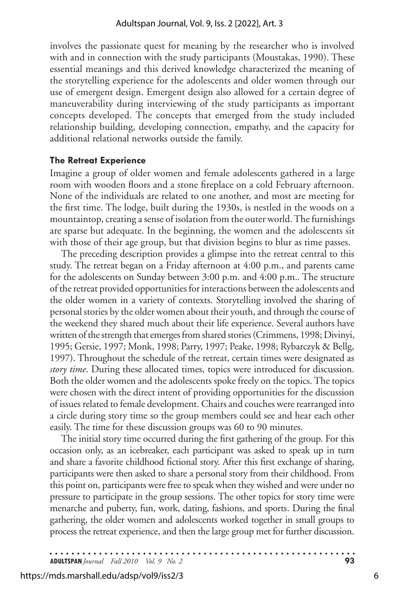involves the passionate quest for meaning by the researcher who is involved with and in connection with the study participants (Moustakas, 1990). These essential meanings and this derived knowledge characterized the meaning of the storytelling experience for the adolescents and older women through our use of emergent design. Emergent design also allowed for a certain degree of maneuverability during interviewing of the study participants as important concepts developed. The concepts that emerged from the study included relationship building, developing connection, empathy, and the capacity for additional relational networks outside the family.

#### **The Retreat Experience**

Imagine a group of older women and female adolescents gathered in a large room with wooden floors and a stone fireplace on a cold February afternoon. None of the individuals are related to one another, and most are meeting for the first time. The lodge, built during the 1930s, is nestled in the woods on a mountaintop, creating a sense of isolation from the outer world. The furnishings are sparse but adequate. In the beginning, the women and the adolescents sit with those of their age group, but that division begins to blur as time passes.

The preceding description provides a glimpse into the retreat central to this study. The retreat began on a Friday afternoon at 4:00 p.m., and parents came for the adolescents on Sunday between 3:00 p.m. and 4:00 p.m.. The structure of the retreat provided opportunities for interactions between the adolescents and the older women in a variety of contexts. Storytelling involved the sharing of personal stories by the older women about their youth, and through the course of the weekend they shared much about their life experience. Several authors have written of the strength that emerges from shared stories (Crimmens, 1998; Divinyi, 1995; Gersie, 1997; Monk, 1998; Parry, 1997; Peake, 1998; Rybarczyk & Bellg, 1997). Throughout the schedule of the retreat, certain times were designated as *story time*. During these allocated times, topics were introduced for discussion. Both the older women and the adolescents spoke freely on the topics. The topics were chosen with the direct intent of providing opportunities for the discussion of issues related to female development. Chairs and couches were rearranged into a circle during story time so the group members could see and hear each other easily. The time for these discussion groups was 60 to 90 minutes.

The initial story time occurred during the first gathering of the group. For this occasion only, as an icebreaker, each participant was asked to speak up in turn and share a favorite childhood fictional story. After this first exchange of sharing, participants were then asked to share a personal story from their childhood. From this point on, participants were free to speak when they wished and were under no pressure to participate in the group sessions. The other topics for story time were menarche and puberty, fun, work, dating, fashions, and sports. During the final gathering, the older women and adolescents worked together in small groups to process the retreat experience, and then the large group met for further discussion.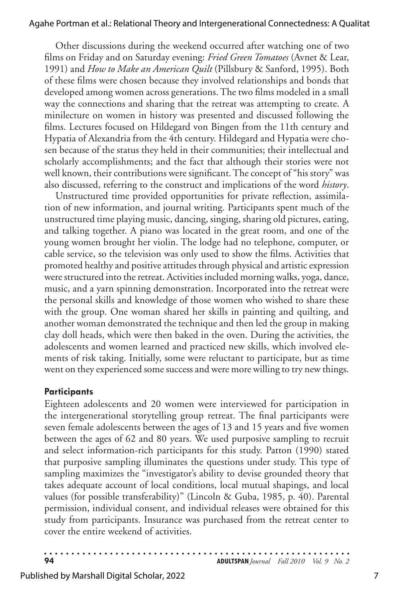Other discussions during the weekend occurred after watching one of two films on Friday and on Saturday evening: *Fried Green Tomatoes* (Avnet & Lear, 1991) and *How to Make an American Quilt* (Pillsbury & Sanford, 1995). Both of these films were chosen because they involved relationships and bonds that developed among women across generations. The two films modeled in a small way the connections and sharing that the retreat was attempting to create. A minilecture on women in history was presented and discussed following the films. Lectures focused on Hildegard von Bingen from the 11th century and Hypatia of Alexandria from the 4th century. Hildegard and Hypatia were chosen because of the status they held in their communities; their intellectual and scholarly accomplishments; and the fact that although their stories were not well known, their contributions were significant. The concept of "his story" was also discussed, referring to the construct and implications of the word *history*.

Unstructured time provided opportunities for private reflection, assimilation of new information, and journal writing. Participants spent much of the unstructured time playing music, dancing, singing, sharing old pictures, eating, and talking together. A piano was located in the great room, and one of the young women brought her violin. The lodge had no telephone, computer, or cable service, so the television was only used to show the films. Activities that promoted healthy and positive attitudes through physical and artistic expression were structured into the retreat. Activities included morning walks, yoga, dance, music, and a yarn spinning demonstration. Incorporated into the retreat were the personal skills and knowledge of those women who wished to share these with the group. One woman shared her skills in painting and quilting, and another woman demonstrated the technique and then led the group in making clay doll heads, which were then baked in the oven. During the activities, the adolescents and women learned and practiced new skills, which involved elements of risk taking. Initially, some were reluctant to participate, but as time went on they experienced some success and were more willing to try new things.

#### **Participants**

Eighteen adolescents and 20 women were interviewed for participation in the intergenerational storytelling group retreat. The final participants were seven female adolescents between the ages of 13 and 15 years and five women between the ages of 62 and 80 years. We used purposive sampling to recruit and select information-rich participants for this study. Patton (1990) stated that purposive sampling illuminates the questions under study. This type of sampling maximizes the "investigator's ability to devise grounded theory that takes adequate account of local conditions, local mutual shapings, and local values (for possible transferability)" (Lincoln & Guba, 1985, p. 40). Parental permission, individual consent, and individual releases were obtained for this study from participants. Insurance was purchased from the retreat center to cover the entire weekend of activities.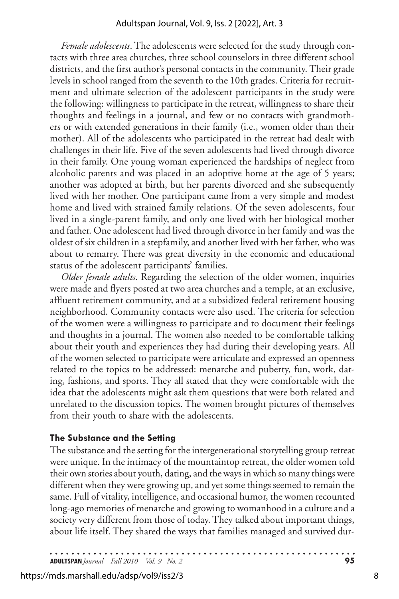#### Adultspan Journal, Vol. 9, Iss. 2 [2022], Art. 3

*Female adolescents*. The adolescents were selected for the study through contacts with three area churches, three school counselors in three different school districts, and the first author's personal contacts in the community. Their grade levels in school ranged from the seventh to the 10th grades. Criteria for recruitment and ultimate selection of the adolescent participants in the study were the following: willingness to participate in the retreat, willingness to share their thoughts and feelings in a journal, and few or no contacts with grandmothers or with extended generations in their family (i.e., women older than their mother). All of the adolescents who participated in the retreat had dealt with challenges in their life. Five of the seven adolescents had lived through divorce in their family. One young woman experienced the hardships of neglect from alcoholic parents and was placed in an adoptive home at the age of 5 years; another was adopted at birth, but her parents divorced and she subsequently lived with her mother. One participant came from a very simple and modest home and lived with strained family relations. Of the seven adolescents, four lived in a single-parent family, and only one lived with her biological mother and father. One adolescent had lived through divorce in her family and was the oldest of six children in a stepfamily, and another lived with her father, who was about to remarry. There was great diversity in the economic and educational status of the adolescent participants' families.

*Older female adults*. Regarding the selection of the older women, inquiries were made and flyers posted at two area churches and a temple, at an exclusive, affluent retirement community, and at a subsidized federal retirement housing neighborhood. Community contacts were also used. The criteria for selection of the women were a willingness to participate and to document their feelings and thoughts in a journal. The women also needed to be comfortable talking about their youth and experiences they had during their developing years. All of the women selected to participate were articulate and expressed an openness related to the topics to be addressed: menarche and puberty, fun, work, dating, fashions, and sports. They all stated that they were comfortable with the idea that the adolescents might ask them questions that were both related and unrelated to the discussion topics. The women brought pictures of themselves from their youth to share with the adolescents.

#### **The Substance and the Setting**

The substance and the setting for the intergenerational storytelling group retreat were unique. In the intimacy of the mountaintop retreat, the older women told their own stories about youth, dating, and the ways in which so many things were different when they were growing up, and yet some things seemed to remain the same. Full of vitality, intelligence, and occasional humor, the women recounted long-ago memories of menarche and growing to womanhood in a culture and a society very different from those of today. They talked about important things, about life itself. They shared the ways that families managed and survived dur-

**ADULTSPAN***Journal Fall 2010 Vol. 9 No. 2* **95**

#### https://mds.marshall.edu/adsp/vol9/iss2/3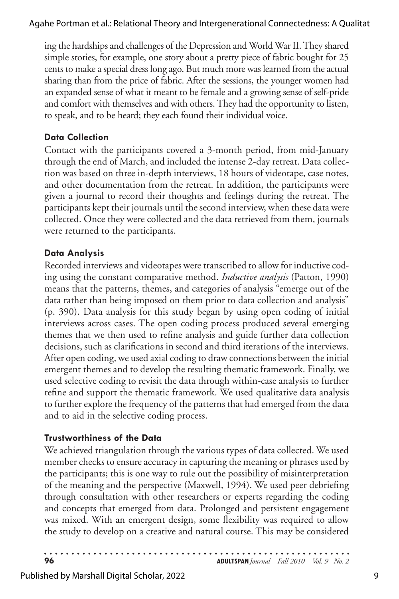ing the hardships and challenges of the Depression and World War II. They shared simple stories, for example, one story about a pretty piece of fabric bought for 25 cents to make a special dress long ago. But much more was learned from the actual sharing than from the price of fabric. After the sessions, the younger women had an expanded sense of what it meant to be female and a growing sense of self-pride and comfort with themselves and with others. They had the opportunity to listen, to speak, and to be heard; they each found their individual voice.

## **Data Collection**

Contact with the participants covered a 3-month period, from mid-January through the end of March, and included the intense 2-day retreat. Data collection was based on three in-depth interviews, 18 hours of videotape, case notes, and other documentation from the retreat. In addition, the participants were given a journal to record their thoughts and feelings during the retreat. The participants kept their journals until the second interview, when these data were collected. Once they were collected and the data retrieved from them, journals were returned to the participants.

## **Data Analysis**

Recorded interviews and videotapes were transcribed to allow for inductive coding using the constant comparative method. *Inductive analysis* (Patton, 1990) means that the patterns, themes, and categories of analysis "emerge out of the data rather than being imposed on them prior to data collection and analysis" (p. 390). Data analysis for this study began by using open coding of initial interviews across cases. The open coding process produced several emerging themes that we then used to refine analysis and guide further data collection decisions, such as clarifications in second and third iterations of the interviews. After open coding, we used axial coding to draw connections between the initial emergent themes and to develop the resulting thematic framework. Finally, we used selective coding to revisit the data through within-case analysis to further refine and support the thematic framework. We used qualitative data analysis to further explore the frequency of the patterns that had emerged from the data and to aid in the selective coding process.

## **Trustworthiness of the Data**

We achieved triangulation through the various types of data collected. We used member checks to ensure accuracy in capturing the meaning or phrases used by the participants; this is one way to rule out the possibility of misinterpretation of the meaning and the perspective (Maxwell, 1994). We used peer debriefing through consultation with other researchers or experts regarding the coding and concepts that emerged from data. Prolonged and persistent engagement was mixed. With an emergent design, some flexibility was required to allow the study to develop on a creative and natural course. This may be considered

**96 ADULTSPAN***Journal Fall 2010 Vol. 9 No. 2*

## Published by Marshall Digital Scholar, 2022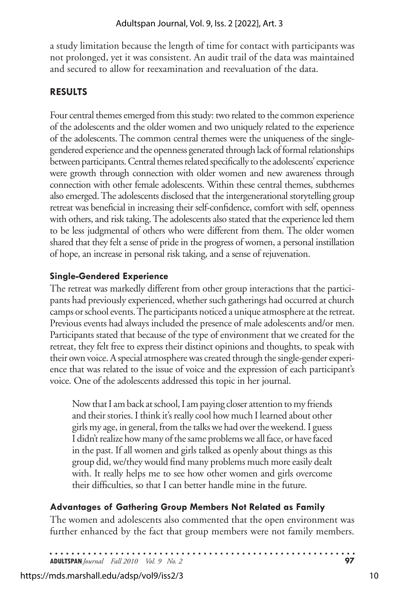a study limitation because the length of time for contact with participants was not prolonged, yet it was consistent. An audit trail of the data was maintained and secured to allow for reexamination and reevaluation of the data.

## **RESULTS**

Four central themes emerged from this study: two related to the common experience of the adolescents and the older women and two uniquely related to the experience of the adolescents. The common central themes were the uniqueness of the singlegendered experience and the openness generated through lack of formal relationships between participants. Central themes related specifically to the adolescents' experience were growth through connection with older women and new awareness through connection with other female adolescents. Within these central themes, subthemes also emerged. The adolescents disclosed that the intergenerational storytelling group retreat was beneficial in increasing their self-confidence, comfort with self, openness with others, and risk taking. The adolescents also stated that the experience led them to be less judgmental of others who were different from them. The older women shared that they felt a sense of pride in the progress of women, a personal instillation of hope, an increase in personal risk taking, and a sense of rejuvenation.

## **Single-Gendered Experience**

The retreat was markedly different from other group interactions that the participants had previously experienced, whether such gatherings had occurred at church camps or school events. The participants noticed a unique atmosphere at the retreat. Previous events had always included the presence of male adolescents and/or men. Participants stated that because of the type of environment that we created for the retreat, they felt free to express their distinct opinions and thoughts, to speak with their own voice. A special atmosphere was created through the single-gender experience that was related to the issue of voice and the expression of each participant's voice. One of the adolescents addressed this topic in her journal.

Now that I am back at school, I am paying closer attention to my friends and their stories. I think it's really cool how much I learned about other girls my age, in general, from the talks we had over the weekend. I guess I didn't realize how many of the same problems we all face, or have faced in the past. If all women and girls talked as openly about things as this group did, we/they would find many problems much more easily dealt with. It really helps me to see how other women and girls overcome their difficulties, so that I can better handle mine in the future.

## **Advantages of Gathering Group Members Not Related as Family**

The women and adolescents also commented that the open environment was further enhanced by the fact that group members were not family members.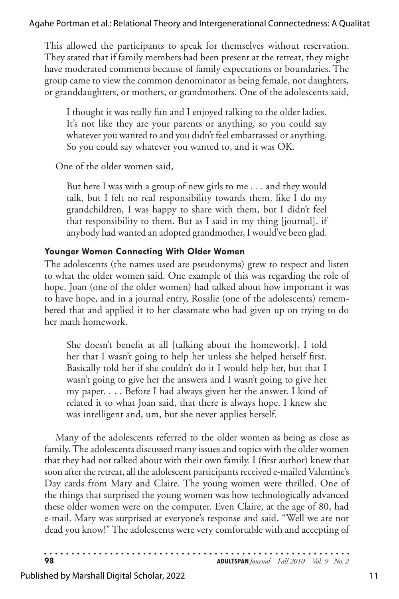This allowed the participants to speak for themselves without reservation. They stated that if family members had been present at the retreat, they might have moderated comments because of family expectations or boundaries. The group came to view the common denominator as being female, not daughters, or granddaughters, or mothers, or grandmothers. One of the adolescents said,

I thought it was really fun and I enjoyed talking to the older ladies. It's not like they are your parents or anything, so you could say whatever you wanted to and you didn't feel embarrassed or anything. So you could say whatever you wanted to, and it was OK.

One of the older women said,

But here I was with a group of new girls to me . . . and they would talk, but I felt no real responsibility towards them, like I do my grandchildren, I was happy to share with them, but I didn't feel that responsibility to them. But as I said in my thing [journal], if anybody had wanted an adopted grandmother, I would've been glad.

## **Younger Women Connecting With Older Women**

The adolescents (the names used are pseudonyms) grew to respect and listen to what the older women said. One example of this was regarding the role of hope. Joan (one of the older women) had talked about how important it was to have hope, and in a journal entry, Rosalie (one of the adolescents) remembered that and applied it to her classmate who had given up on trying to do her math homework.

She doesn't benefit at all [talking about the homework]. I told her that I wasn't going to help her unless she helped herself first. Basically told her if she couldn't do it I would help her, but that I wasn't going to give her the answers and I wasn't going to give her my paper. . . . Before I had always given her the answer. I kind of related it to what Joan said, that there is always hope. I knew she was intelligent and, um, but she never applies herself.

Many of the adolescents referred to the older women as being as close as family. The adolescents discussed many issues and topics with the older women that they had not talked about with their own family. I (first author) knew that soon after the retreat, all the adolescent participants received e-mailed Valentine's Day cards from Mary and Claire. The young women were thrilled. One of the things that surprised the young women was how technologically advanced these older women were on the computer. Even Claire, at the age of 80, had e-mail. Mary was surprised at everyone's response and said, "Well we are not dead you know!" The adolescents were very comfortable with and accepting of

. . . . . . . . . . . . . . . **98 ADULTSPAN***Journal Fall 2010 Vol. 9 No. 2*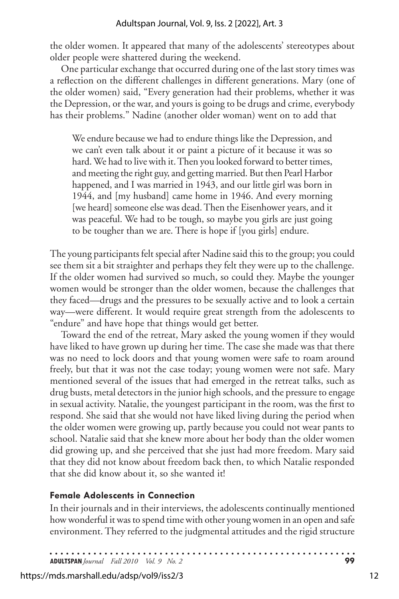the older women. It appeared that many of the adolescents' stereotypes about older people were shattered during the weekend.

One particular exchange that occurred during one of the last story times was a reflection on the different challenges in different generations. Mary (one of the older women) said, "Every generation had their problems, whether it was the Depression, or the war, and yours is going to be drugs and crime, everybody has their problems." Nadine (another older woman) went on to add that

We endure because we had to endure things like the Depression, and we can't even talk about it or paint a picture of it because it was so hard. We had to live with it. Then you looked forward to better times, and meeting the right guy, and getting married. But then Pearl Harbor happened, and I was married in 1943, and our little girl was born in 1944, and [my husband] came home in 1946. And every morning [we heard] someone else was dead. Then the Eisenhower years, and it was peaceful. We had to be tough, so maybe you girls are just going to be tougher than we are. There is hope if [you girls] endure.

The young participants felt special after Nadine said this to the group; you could see them sit a bit straighter and perhaps they felt they were up to the challenge. If the older women had survived so much, so could they. Maybe the younger women would be stronger than the older women, because the challenges that they faced—drugs and the pressures to be sexually active and to look a certain way—were different. It would require great strength from the adolescents to "endure" and have hope that things would get better.

Toward the end of the retreat, Mary asked the young women if they would have liked to have grown up during her time. The case she made was that there was no need to lock doors and that young women were safe to roam around freely, but that it was not the case today; young women were not safe. Mary mentioned several of the issues that had emerged in the retreat talks, such as drug busts, metal detectors in the junior high schools, and the pressure to engage in sexual activity. Natalie, the youngest participant in the room, was the first to respond. She said that she would not have liked living during the period when the older women were growing up, partly because you could not wear pants to school. Natalie said that she knew more about her body than the older women did growing up, and she perceived that she just had more freedom. Mary said that they did not know about freedom back then, to which Natalie responded that she did know about it, so she wanted it!

#### **Female Adolescents in Connection**

In their journals and in their interviews, the adolescents continually mentioned how wonderful it was to spend time with other young women in an open and safe environment. They referred to the judgmental attitudes and the rigid structure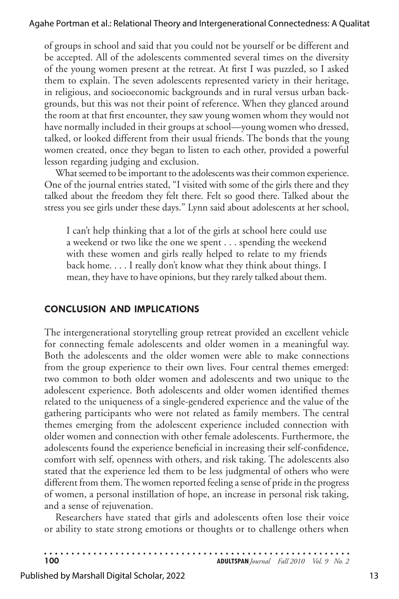of groups in school and said that you could not be yourself or be different and be accepted. All of the adolescents commented several times on the diversity of the young women present at the retreat. At first I was puzzled, so I asked them to explain. The seven adolescents represented variety in their heritage, in religious, and socioeconomic backgrounds and in rural versus urban backgrounds, but this was not their point of reference. When they glanced around the room at that first encounter, they saw young women whom they would not have normally included in their groups at school—young women who dressed, talked, or looked different from their usual friends. The bonds that the young women created, once they began to listen to each other, provided a powerful lesson regarding judging and exclusion.

What seemed to be important to the adolescents was their common experience. One of the journal entries stated, "I visited with some of the girls there and they talked about the freedom they felt there. Felt so good there. Talked about the stress you see girls under these days." Lynn said about adolescents at her school,

I can't help thinking that a lot of the girls at school here could use a weekend or two like the one we spent . . . spending the weekend with these women and girls really helped to relate to my friends back home. . . . I really don't know what they think about things. I mean, they have to have opinions, but they rarely talked about them.

## **CONCLUSION AND IMPLICATIONS**

The intergenerational storytelling group retreat provided an excellent vehicle for connecting female adolescents and older women in a meaningful way. Both the adolescents and the older women were able to make connections from the group experience to their own lives. Four central themes emerged: two common to both older women and adolescents and two unique to the adolescent experience. Both adolescents and older women identified themes related to the uniqueness of a single-gendered experience and the value of the gathering participants who were not related as family members. The central themes emerging from the adolescent experience included connection with older women and connection with other female adolescents. Furthermore, the adolescents found the experience beneficial in increasing their self-confidence, comfort with self, openness with others, and risk taking. The adolescents also stated that the experience led them to be less judgmental of others who were different from them. The women reported feeling a sense of pride in the progress of women, a personal instillation of hope, an increase in personal risk taking, and a sense of rejuvenation.

Researchers have stated that girls and adolescents often lose their voice or ability to state strong emotions or thoughts or to challenge others when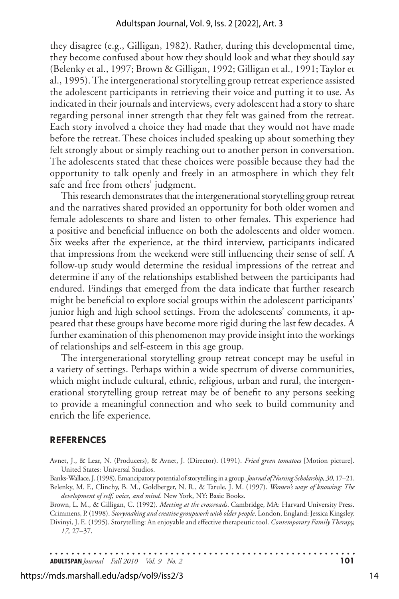they disagree (e.g., Gilligan, 1982). Rather, during this developmental time, they become confused about how they should look and what they should say (Belenky et al., 1997; Brown & Gilligan, 1992; Gilligan et al., 1991; Taylor et al., 1995). The intergenerational storytelling group retreat experience assisted the adolescent participants in retrieving their voice and putting it to use. As indicated in their journals and interviews, every adolescent had a story to share regarding personal inner strength that they felt was gained from the retreat. Each story involved a choice they had made that they would not have made before the retreat. These choices included speaking up about something they felt strongly about or simply reaching out to another person in conversation. The adolescents stated that these choices were possible because they had the opportunity to talk openly and freely in an atmosphere in which they felt safe and free from others' judgment.

This research demonstrates that the intergenerational storytelling group retreat and the narratives shared provided an opportunity for both older women and female adolescents to share and listen to other females. This experience had a positive and beneficial influence on both the adolescents and older women. Six weeks after the experience, at the third interview, participants indicated that impressions from the weekend were still influencing their sense of self. A follow-up study would determine the residual impressions of the retreat and determine if any of the relationships established between the participants had endured. Findings that emerged from the data indicate that further research might be beneficial to explore social groups within the adolescent participants' junior high and high school settings. From the adolescents' comments, it appeared that these groups have become more rigid during the last few decades. A further examination of this phenomenon may provide insight into the workings of relationships and self-esteem in this age group.

The intergenerational storytelling group retreat concept may be useful in a variety of settings. Perhaps within a wide spectrum of diverse communities, which might include cultural, ethnic, religious, urban and rural, the intergenerational storytelling group retreat may be of benefit to any persons seeking to provide a meaningful connection and who seek to build community and enrich the life experience.

#### **REFERENCES**

Avnet, J., & Lear, N. (Producers), & Avnet, J. (Director). (1991). *Fried green tomatoes* [Motion picture]. United States: Universal Studios.

Banks-Wallace, J. (1998). Emancipatory potential of storytelling in a group. *Journal of Nursing Scholarship, 30,* 17–21. Belenky, M. F., Clinchy, B. M., Goldberger, N. R., & Tarule, J. M. (1997). *Women's ways of knowing: The development of self, voice, and mind*. New York, NY: Basic Books.

Brown, L. M., & Gilligan, C. (1992). *Meeting at the crossroads*. Cambridge, MA: Harvard University Press. Crimmens, P. (1998). *Storymaking and creative groupwork with older people*. London, England: Jessica Kingsley.

Divinyi, J. E. (1995). Storytelling: An enjoyable and effective therapeutic tool. *Contemporary Family Therapy, 17,* 27–37.

. . . . . . . . . . . . . . . . . . . . . . . . . . . . . . . . **ADULTSPAN***Journal Fall 2010 Vol. 9 No. 2* **101**

https://mds.marshall.edu/adsp/vol9/iss2/3